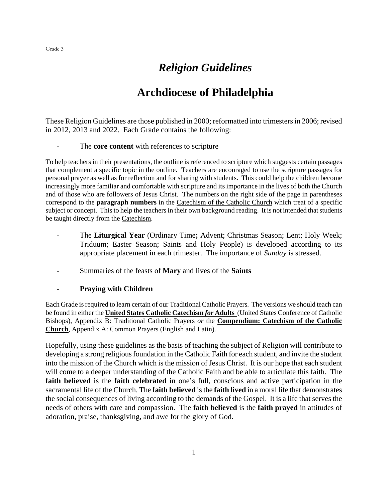# *Religion Guidelines*

# **Archdiocese of Philadelphia**

These Religion Guidelines are those published in 2000; reformatted into trimestersin 2006; revised in 2012, 2013 and 2022. Each Grade contains the following:

#### The **core content** with references to scripture

To help teachers in their presentations, the outline is referenced to scripture which suggests certain passages that complement a specific topic in the outline. Teachers are encouraged to use the scripture passages for personal prayer as well as for reflection and for sharing with students. This could help the children become increasingly more familiar and comfortable with scripture and its importance in the lives of both the Church and of those who are followers of Jesus Christ. The numbers on the right side of the page in parentheses correspond to the **paragraph numbers** in the Catechism of the Catholic Church which treat of a specific subject or concept. This to help the teachers in their own background reading. It is not intended that students be taught directly from the Catechism.

- The **Liturgical Year** (Ordinary Time**;** Advent; Christmas Season; Lent; Holy Week; Triduum; Easter Season; Saints and Holy People) is developed according to its appropriate placement in each trimester. The importance of *Sunday* is stressed.
- Summaries of the feasts of **Mary** and lives of the **Saints**

# - **Praying with Children**

Each Grade is required to learn certain of our Traditional Catholic Prayers. The versions we should teach can be found in either the **United States Catholic Catechism** *for* **Adults** (United States Conference of Catholic Bishops), Appendix B: Traditional Catholic Prayers *or* the **Compendium: Catechism of the Catholic Church**, Appendix A: Common Prayers (English and Latin).

Hopefully, using these guidelines as the basis of teaching the subject of Religion will contribute to developing a strong religious foundation in the Catholic Faith for each student, and invite the student into the mission of the Church which is the mission of Jesus Christ. It is our hope that each student will come to a deeper understanding of the Catholic Faith and be able to articulate this faith. The **faith believed** is the **faith celebrated** in one's full, conscious and active participation in the sacramental life of the Church. The **faith believed** is the **faith lived** in a moral life that demonstrates the social consequences of living according to the demands of the Gospel. It is a life that serves the needs of others with care and compassion. The **faith believed** is the **faith prayed** in attitudes of adoration, praise, thanksgiving, and awe for the glory of God.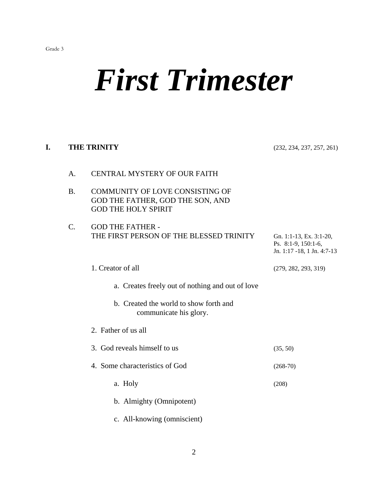# *First Trimester*

# **I. THE TRINITY** (232, 234, 237, 257, 261)

| A.              | <b>CENTRAL MYSTERY OF OUR FAITH</b>                                                                      |                                                                              |
|-----------------|----------------------------------------------------------------------------------------------------------|------------------------------------------------------------------------------|
| <b>B.</b>       | <b>COMMUNITY OF LOVE CONSISTING OF</b><br>GOD THE FATHER, GOD THE SON, AND<br><b>GOD THE HOLY SPIRIT</b> |                                                                              |
| $\mathcal{C}$ . | <b>GOD THE FATHER -</b><br>THE FIRST PERSON OF THE BLESSED TRINITY                                       | Gn. 1:1-13, Ex. 3:1-20,<br>Ps. 8:1-9, 150:1-6,<br>Jn. 1:17 -18, 1 Jn. 4:7-13 |
|                 | 1. Creator of all                                                                                        | (279, 282, 293, 319)                                                         |
|                 | a. Creates freely out of nothing and out of love                                                         |                                                                              |
|                 | b. Created the world to show forth and<br>communicate his glory.                                         |                                                                              |
|                 | 2. Father of us all                                                                                      |                                                                              |
|                 | 3. God reveals himself to us                                                                             | (35, 50)                                                                     |
|                 | 4. Some characteristics of God                                                                           | $(268-70)$                                                                   |
|                 | a. Holy                                                                                                  | (208)                                                                        |
|                 | b. Almighty (Omnipotent)                                                                                 |                                                                              |
|                 | c. All-knowing (omniscient)                                                                              |                                                                              |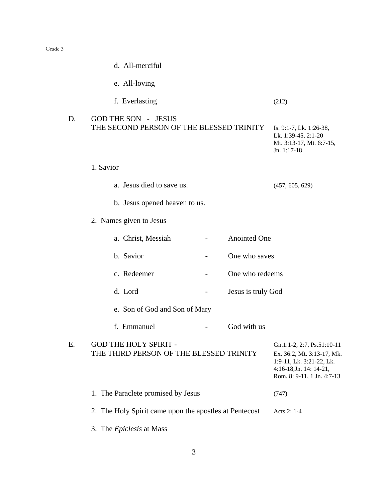|    | d. All-merciful                                                         |                                                                                                                                               |
|----|-------------------------------------------------------------------------|-----------------------------------------------------------------------------------------------------------------------------------------------|
|    | e. All-loving                                                           |                                                                                                                                               |
|    | f. Everlasting                                                          | (212)                                                                                                                                         |
| D. | <b>GOD THE SON - JESUS</b><br>THE SECOND PERSON OF THE BLESSED TRINITY  | Is. 9:1-7, Lk. 1:26-38,<br>Lk. 1:39-45, 2:1-20<br>Mt. 3:13-17, Mt. 6:7-15,<br>Jn. 1:17-18                                                     |
|    | 1. Savior                                                               |                                                                                                                                               |
|    | a. Jesus died to save us.                                               | (457, 605, 629)                                                                                                                               |
|    | b. Jesus opened heaven to us.                                           |                                                                                                                                               |
|    | 2. Names given to Jesus                                                 |                                                                                                                                               |
|    | <b>Anointed One</b><br>a. Christ, Messiah                               |                                                                                                                                               |
|    | b. Savior<br>One who saves                                              |                                                                                                                                               |
|    | c. Redeemer<br>One who redeems                                          |                                                                                                                                               |
|    | d. Lord<br>Jesus is truly God                                           |                                                                                                                                               |
|    | e. Son of God and Son of Mary                                           |                                                                                                                                               |
|    | f. Emmanuel<br>God with us                                              |                                                                                                                                               |
| Ε. | <b>GOD THE HOLY SPIRIT -</b><br>THE THIRD PERSON OF THE BLESSED TRINITY | Gn.1:1-2, 2:7, Ps.51:10-11<br>Ex. 36:2, Mt. 3:13-17, Mk.<br>1:9-11, Lk. 3:21-22, Lk.<br>4:16-18, Jn. 14: 14-21,<br>Rom. 8: 9-11, 1 Jn. 4:7-13 |
|    | 1. The Paraclete promised by Jesus                                      | (747)                                                                                                                                         |
|    | 2. The Holy Spirit came upon the apostles at Pentecost                  | Acts 2: 1-4                                                                                                                                   |
|    | 3. The <i>Epiclesis</i> at Mass                                         |                                                                                                                                               |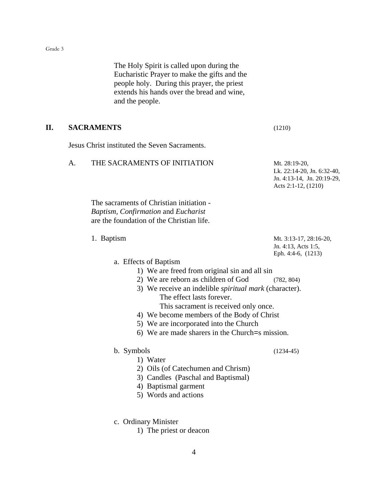The Holy Spirit is called upon during the Eucharistic Prayer to make the gifts and the people holy. During this prayer, the priest extends his hands over the bread and wine, and the people.

#### **II. SACRAMENTS** (1210)

Jesus Christ instituted the Seven Sacraments.

#### A. THE SACRAMENTS OF INITIATION Mt. 28:19-20,

Lk. 22:14-20, Jn. 6:32-40, Jn. 4:13-14, Jn. 20:19-29, Acts 2:1-12, (1210)

The sacraments of Christian initiation - *Baptism, Confirmation* and *Eucharist*  are the foundation of the Christian life.

1. Baptism Mt. 3:13-17, 28:16-20, Jn. 4:13, Acts 1:5, Eph. 4:4-6, (1213)

# a. Effects of Baptism

- 1) We are freed from original sin and all sin
- 2) We are reborn as children of God (782, 804)
- 3) We receive an indelible *spiritual mark* (character). The effect lasts forever. This sacrament is received only once.
- 4) We become members of the Body of Christ
- 5) We are incorporated into the Church
- 6) We are made sharers in the Church=s mission.

#### b. Symbols (1234-45)

- 1) Water
- 2) Oils (of Catechumen and Chrism)
- 3) Candles (Paschal and Baptismal)
- 4) Baptismal garment
- 5) Words and actions
- c. Ordinary Minister
	- 1) The priest or deacon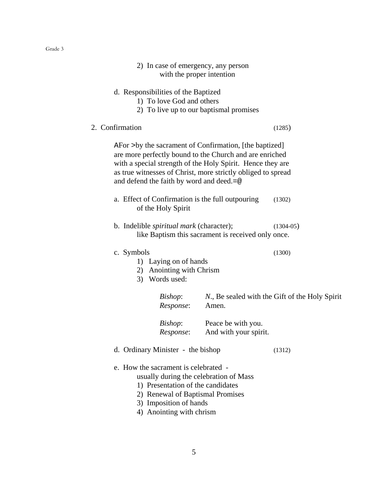| 2) In case of emergency, any person<br>with the proper intention                                                                                                                                                                                                                                    |                                                    |                                                |
|-----------------------------------------------------------------------------------------------------------------------------------------------------------------------------------------------------------------------------------------------------------------------------------------------------|----------------------------------------------------|------------------------------------------------|
| d. Responsibilities of the Baptized<br>1) To love God and others<br>2) To live up to our baptismal promises                                                                                                                                                                                         |                                                    |                                                |
| 2. Confirmation                                                                                                                                                                                                                                                                                     |                                                    | (1285)                                         |
| AFor >by the sacrament of Confirmation, [the baptized]<br>are more perfectly bound to the Church and are enriched<br>with a special strength of the Holy Spirit. Hence they are<br>as true witnesses of Christ, more strictly obliged to spread<br>and defend the faith by word and deed. $=\infty$ |                                                    |                                                |
| a. Effect of Confirmation is the full outpouring<br>of the Holy Spirit                                                                                                                                                                                                                              |                                                    | (1302)                                         |
| b. Indelible <i>spiritual mark</i> (character);                                                                                                                                                                                                                                                     | like Baptism this sacrament is received only once. | $(1304-05)$                                    |
| c. Symbols<br>1) Laying on of hands<br>2) Anointing with Chrism<br>3) Words used:                                                                                                                                                                                                                   |                                                    | (1300)                                         |
| Bishop:<br>Response:                                                                                                                                                                                                                                                                                | Amen.                                              | N., Be sealed with the Gift of the Holy Spirit |
| Bishop:<br>Response:                                                                                                                                                                                                                                                                                | Peace be with you.<br>And with your spirit.        |                                                |
| d. Ordinary Minister - the bishop                                                                                                                                                                                                                                                                   |                                                    | (1312)                                         |
| e. How the sacrament is celebrated -<br>usually during the celebration of Mass<br>1) Presentation of the candidates<br>2) Renewal of Baptismal Promises<br>3) Imposition of hands<br>4) Anointing with chrism                                                                                       |                                                    |                                                |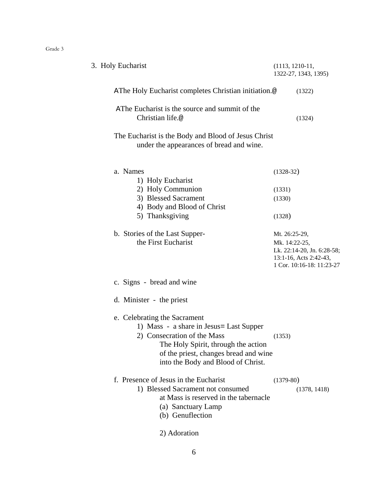| 3. Holy Eucharist                                                                                                                                                                                                             | $(1113, 1210-11,$<br>1322-27, 1343, 1395)                                                          |
|-------------------------------------------------------------------------------------------------------------------------------------------------------------------------------------------------------------------------------|----------------------------------------------------------------------------------------------------|
| AThe Holy Eucharist completes Christian initiation.@                                                                                                                                                                          | (1322)                                                                                             |
| AThe Eucharist is the source and summit of the<br>Christian life.@                                                                                                                                                            | (1324)                                                                                             |
| The Eucharist is the Body and Blood of Jesus Christ<br>under the appearances of bread and wine.                                                                                                                               |                                                                                                    |
| a. Names<br>1) Holy Eucharist                                                                                                                                                                                                 | $(1328-32)$                                                                                        |
| 2) Holy Communion                                                                                                                                                                                                             | (1331)                                                                                             |
| 3) Blessed Sacrament                                                                                                                                                                                                          | (1330)                                                                                             |
| 4) Body and Blood of Christ                                                                                                                                                                                                   |                                                                                                    |
| 5) Thanksgiving                                                                                                                                                                                                               | (1328)                                                                                             |
| b. Stories of the Last Supper-                                                                                                                                                                                                | Mt. 26:25-29,                                                                                      |
| the First Eucharist                                                                                                                                                                                                           | Mk. 14:22-25,<br>Lk. 22:14-20, Jn. 6:28-58;<br>13:1-16, Acts 2:42-43,<br>1 Cor. 10:16-18: 11:23-27 |
| c. Signs - bread and wine                                                                                                                                                                                                     |                                                                                                    |
| d. Minister - the priest                                                                                                                                                                                                      |                                                                                                    |
| e. Celebrating the Sacrament<br>1) Mass - a share in Jesus = Last Supper<br>2) Consecration of the Mass<br>The Holy Spirit, through the action<br>of the priest, changes bread and wine<br>into the Body and Blood of Christ. | (1353)                                                                                             |
| f. Presence of Jesus in the Eucharist<br>1) Blessed Sacrament not consumed<br>at Mass is reserved in the tabernacle<br>(a) Sanctuary Lamp<br>(b) Genuflection                                                                 | $(1379-80)$<br>(1378, 1418)                                                                        |
| 2) Adoration                                                                                                                                                                                                                  |                                                                                                    |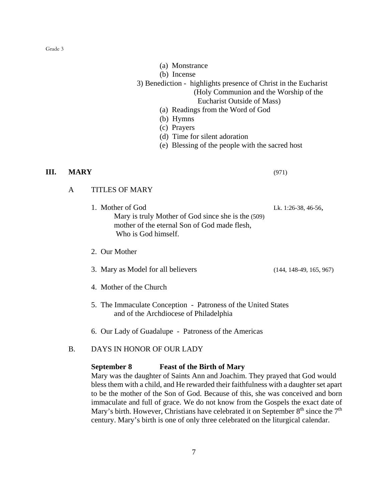- (a) Monstrance
- (b) Incense
- 3) Benediction highlights presence of Christ in the Eucharist (Holy Communion and the Worship of the
	- Eucharist Outside of Mass)
	- (a) Readings from the Word of God
	- (b) Hymns
	- (c) Prayers
	- (d) Time for silent adoration
	- (e) Blessing of the people with the sacred host

#### **III. MARY** (971)

# A TITLES OF MARY

- 1. Mother of God Lk. 1:26-38, 46-56, Mary is truly Mother of God since she is the (509) mother of the eternal Son of God made flesh, Who is God himself.
- 2. Our Mother
- 3. Mary as Model for all believers (144, 148-49, 165, 967)
- 4. Mother of the Church
- 5. The Immaculate Conception Patroness of the United States and of the Archdiocese of Philadelphia
- 6. Our Lady of Guadalupe Patroness of the Americas

# B. DAYS IN HONOR OF OUR LADY

#### **September 8 Feast of the Birth of Mary**

Mary was the daughter of Saints Ann and Joachim. They prayed that God would bless them with a child, and He rewarded their faithfulness with a daughter set apart to be the mother of the Son of God. Because of this, she was conceived and born immaculate and full of grace. We do not know from the Gospels the exact date of Mary's birth. However, Christians have celebrated it on September  $8<sup>th</sup>$  since the  $7<sup>th</sup>$ century. Mary's birth is one of only three celebrated on the liturgical calendar.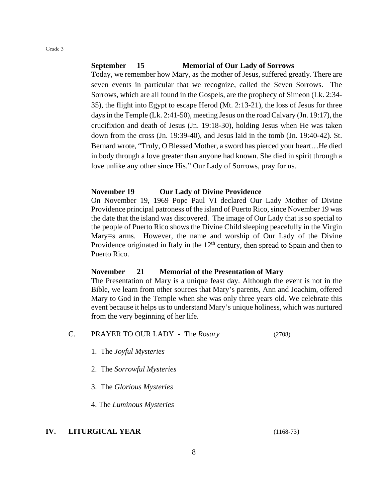#### **September 15 Memorial of Our Lady of Sorrows**

Today, we remember how Mary, as the mother of Jesus, suffered greatly. There are seven events in particular that we recognize, called the Seven Sorrows. The Sorrows, which are all found in the Gospels, are the prophecy of Simeon (Lk. 2:34- 35), the flight into Egypt to escape Herod (Mt. 2:13-21), the loss of Jesus for three days in the Temple (Lk. 2:41-50), meeting Jesus on the road Calvary (Jn. 19:17), the crucifixion and death of Jesus (Jn. 19:18-30), holding Jesus when He was taken down from the cross (Jn. 19:39-40), and Jesus laid in the tomb (Jn. 19:40-42). St. Bernard wrote, "Truly, O Blessed Mother, a sword has pierced your heart…He died in body through a love greater than anyone had known. She died in spirit through a love unlike any other since His." Our Lady of Sorrows, pray for us.

#### **November 19 Our Lady of Divine Providence**

On November 19, 1969 Pope Paul VI declared Our Lady Mother of Divine Providence principal patroness of the island of Puerto Rico, since November 19 was the date that the island was discovered. The image of Our Lady that is so special to the people of Puerto Rico shows the Divine Child sleeping peacefully in the Virgin Mary=s arms. However, the name and worship of Our Lady of the Divine Providence originated in Italy in the  $12<sup>th</sup>$  century, then spread to Spain and then to Puerto Rico.

#### **November 21 Memorial of the Presentation of Mary**

The Presentation of Mary is a unique feast day. Although the event is not in the Bible, we learn from other sources that Mary's parents, Ann and Joachim, offered Mary to God in the Temple when she was only three years old. We celebrate this event because it helps us to understand Mary's unique holiness, which was nurtured from the very beginning of her life.

# C. PRAYER TO OUR LADY - The *Rosary* (2708)

- 1. The *Joyful Mysteries*
- 2. The *Sorrowful Mysteries*
- 3. The *Glorious Mysteries*

4. The *Luminous Mysteries*

#### **IV. LITURGICAL YEAR** (1168-73)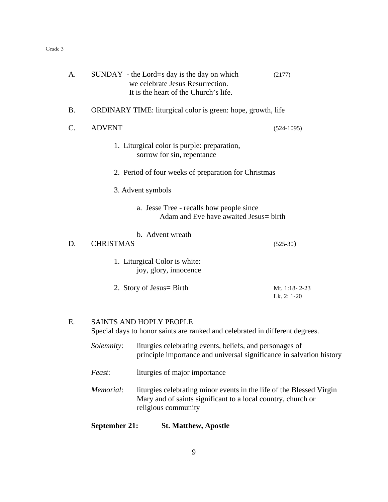| A.        |                  | SUNDAY - the Lord=s day is the day on which<br>we celebrate Jesus Resurrection.<br>It is the heart of the Church's life.                                    | (2177)                       |
|-----------|------------------|-------------------------------------------------------------------------------------------------------------------------------------------------------------|------------------------------|
| <b>B.</b> |                  | ORDINARY TIME: liturgical color is green: hope, growth, life                                                                                                |                              |
| C.        | <b>ADVENT</b>    |                                                                                                                                                             | $(524-1095)$                 |
|           |                  | 1. Liturgical color is purple: preparation,<br>sorrow for sin, repentance                                                                                   |                              |
|           |                  | 2. Period of four weeks of preparation for Christmas                                                                                                        |                              |
|           |                  | 3. Advent symbols                                                                                                                                           |                              |
|           |                  | a. Jesse Tree - recalls how people since<br>Adam and Eve have awaited Jesus = birth                                                                         |                              |
| D.        | <b>CHRISTMAS</b> | b. Advent wreath                                                                                                                                            | $(525-30)$                   |
|           |                  | 1. Liturgical Color is white:<br>joy, glory, innocence                                                                                                      |                              |
|           |                  | 2. Story of Jesus = Birth                                                                                                                                   | Mt. 1:18-2-23<br>Lk. 2: 1-20 |
| Ε.        |                  | <b>SAINTS AND HOPLY PEOPLE</b><br>Special days to honor saints are ranked and celebrated in different degrees.                                              |                              |
|           | Solemnity:       | liturgies celebrating events, beliefs, and personages of<br>principle importance and universal significance in salvation history                            |                              |
|           | Feast:           | liturgies of major importance                                                                                                                               |                              |
|           | Memorial:        | liturgies celebrating minor events in the life of the Blessed Virgin<br>Mary and of saints significant to a local country, church or<br>religious community |                              |

# **September 21: St. Matthew, Apostle**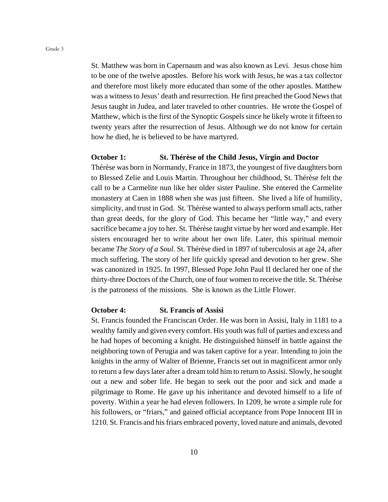St. Matthew was born in Capernaum and was also known as Levi. Jesus chose him to be one of the twelve apostles. Before his work with Jesus, he was a tax collector and therefore most likely more educated than some of the other apostles. Matthew was a witness to Jesus' death and resurrection. He first preached the Good News that Jesus taught in Judea, and later traveled to other countries. He wrote the Gospel of Matthew, which is the first of the Synoptic Gospels since he likely wrote it fifteen to twenty years after the resurrection of Jesus. Although we do not know for certain how he died, he is believed to be have martyred.

#### **October 1: St. Thérèse of the Child Jesus, Virgin and Doctor**

Thérèse was born in Normandy, France in 1873, the youngest of five daughters born to Blessed Zelie and Louis Martin. Throughout her childhood, St. Thérèse felt the call to be a Carmelite nun like her older sister Pauline. She entered the Carmelite monastery at Caen in 1888 when she was just fifteen. She lived a life of humility, simplicity, and trust in God. St. Thérèse wanted to always perform small acts, rather than great deeds, for the glory of God. This became her "little way," and every sacrifice became a joy to her. St. Thérèse taught virtue by her word and example. Her sisters encouraged her to write about her own life. Later, this spiritual memoir became *The Story of a Soul*. St. Thérèse died in 1897 of tuberculosis at age 24, after much suffering. The story of her life quickly spread and devotion to her grew. She was canonized in 1925. In 1997, Blessed Pope John Paul II declared her one of the thirty-three Doctors of the Church, one of four women to receive the title. St. Thérèse is the patroness of the missions. She is known as the Little Flower.

#### **October 4: St. Francis of Assisi**

St. Francis founded the Franciscan Order. He was born in Assisi, Italy in 1181 to a wealthy family and given every comfort. His youth was full of parties and excess and he had hopes of becoming a knight. He distinguished himself in battle against the neighboring town of Perugia and was taken captive for a year. Intending to join the knights in the army of Walter of Brienne, Francis set out in magnificent armor only to return a few days later after a dream told him to return to Assisi. Slowly, he sought out a new and sober life. He began to seek out the poor and sick and made a pilgrimage to Rome. He gave up his inheritance and devoted himself to a life of poverty. Within a year he had eleven followers. In 1209, he wrote a simple rule for his followers, or "friars," and gained official acceptance from Pope Innocent III in 1210. St. Francis and his friars embraced poverty, loved nature and animals, devoted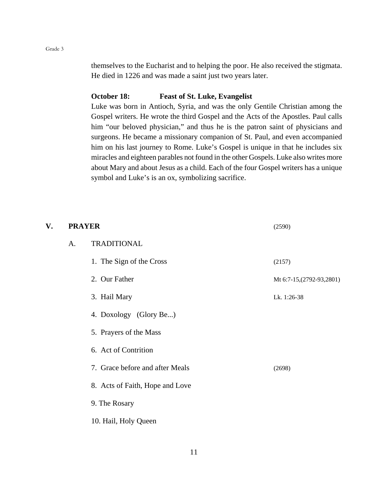themselves to the Eucharist and to helping the poor. He also received the stigmata. He died in 1226 and was made a saint just two years later.

#### **October 18: Feast of St. Luke, Evangelist**

Luke was born in Antioch, Syria, and was the only Gentile Christian among the Gospel writers. He wrote the third Gospel and the Acts of the Apostles. Paul calls him "our beloved physician," and thus he is the patron saint of physicians and surgeons. He became a missionary companion of St. Paul, and even accompanied him on his last journey to Rome. Luke's Gospel is unique in that he includes six miracles and eighteen parables not found in the other Gospels. Luke also writes more about Mary and about Jesus as a child. Each of the four Gospel writers has a unique symbol and Luke's is an ox, symbolizing sacrifice.

| V. | <b>PRAYER</b> |                                 | (2590)                     |
|----|---------------|---------------------------------|----------------------------|
|    | A.            | <b>TRADITIONAL</b>              |                            |
|    |               | 1. The Sign of the Cross        | (2157)                     |
|    |               | 2. Our Father                   | Mt 6:7-15, (2792-93, 2801) |
|    |               | 3. Hail Mary                    | Lk. 1:26-38                |
|    |               | 4. Doxology (Glory Be)          |                            |
|    |               | 5. Prayers of the Mass          |                            |
|    |               | 6. Act of Contrition            |                            |
|    |               | 7. Grace before and after Meals | (2698)                     |
|    |               | 8. Acts of Faith, Hope and Love |                            |
|    |               | 9. The Rosary                   |                            |
|    |               | 10. Hail, Holy Queen            |                            |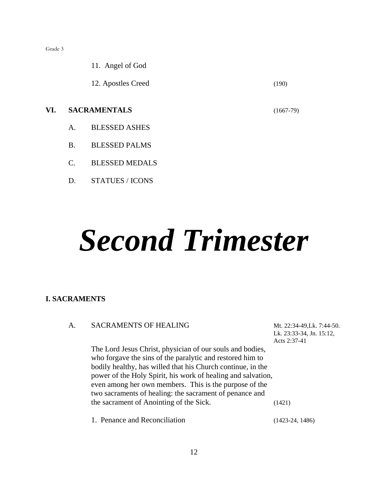11. Angel of God

12. Apostles Creed (190)

# **VI. SACRAMENTALS** (1667-79)

- A. BLESSED ASHES
- B. BLESSED PALMS
- C. BLESSED MEDALS
- D. STATUES / ICONS

# *Second Trimester*

#### **I. SACRAMENTS**

| A. | <b>SACRAMENTS OF HEALING</b>                                 | Mt. 22:34-49, Lk. 7:44-50. |
|----|--------------------------------------------------------------|----------------------------|
|    |                                                              | Lk. 23:33-34, Jn. 15:12,   |
|    |                                                              | Acts 2:37-41               |
|    | The Lord Jesus Christ, physician of our souls and bodies,    |                            |
|    | who forgave the sins of the paralytic and restored him to    |                            |
|    | bodily healthy, has willed that his Church continue, in the  |                            |
|    | power of the Holy Spirit, his work of healing and salvation, |                            |
|    | even among her own members. This is the purpose of the       |                            |
|    | two sacraments of healing: the sacrament of penance and      |                            |
|    | the sacrament of Anointing of the Sick.                      | (1421)                     |
|    | 1. Penance and Reconciliation                                | $(1423-24, 1486)$          |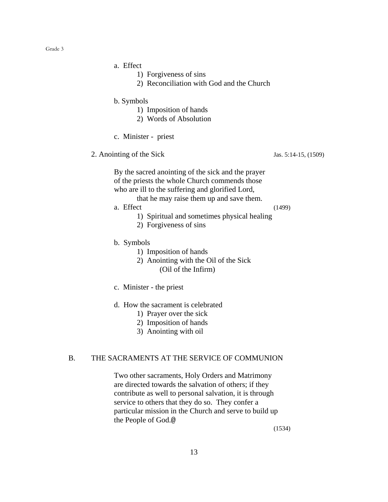- a. Effect
	- 1) Forgiveness of sins
	- 2) Reconciliation with God and the Church
- b. Symbols
	- 1) Imposition of hands
	- 2) Words of Absolution
- c. Minister priest
- 2. Anointing of the Sick Jas. 5:14-15, (1509)

By the sacred anointing of the sick and the prayer of the priests the whole Church commends those who are ill to the suffering and glorified Lord,

that he may raise them up and save them.

a. Effect (1499)

- 1) Spiritual and sometimes physical healing
- 2) Forgiveness of sins
- b. Symbols
	- 1) Imposition of hands
	- 2) Anointing with the Oil of the Sick (Oil of the Infirm)
- c. Minister the priest
- d. How the sacrament is celebrated
	- 1) Prayer over the sick
	- 2) Imposition of hands
	- 3) Anointing with oil

# B. THE SACRAMENTS AT THE SERVICE OF COMMUNION

Two other sacraments, Holy Orders and Matrimony are directed towards the salvation of others; if they contribute as well to personal salvation, it is through service to others that they do so. They confer a particular mission in the Church and serve to build up the People of God.@

(1534)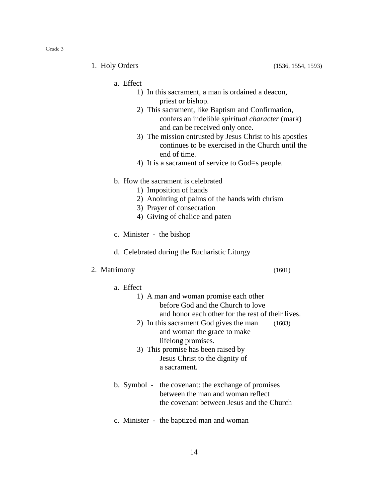1. Holy Orders (1536, 1554, 1593)

- a. Effect
	- 1) In this sacrament, a man is ordained a deacon, priest or bishop.
	- 2) This sacrament, like Baptism and Confirmation, confers an indelible *spiritual character* (mark) and can be received only once.
	- 3) The mission entrusted by Jesus Christ to his apostles continues to be exercised in the Church until the end of time.
	- 4) It is a sacrament of service to God=s people.
- b. How the sacrament is celebrated
	- 1) Imposition of hands
	- 2) Anointing of palms of the hands with chrism
	- 3) Prayer of consecration
	- 4) Giving of chalice and paten
- c. Minister the bishop
- d. Celebrated during the Eucharistic Liturgy

#### 2. Matrimony (1601)

a. Effect

| 1) A man and woman promise each other             |
|---------------------------------------------------|
| before God and the Church to love                 |
| and honor each other for the rest of their lives. |

- 2) In this sacrament God gives the man (1603) and woman the grace to make lifelong promises.
- 3) This promise has been raised by Jesus Christ to the dignity of a sacrament.
- b. Symbol the covenant: the exchange of promises between the man and woman reflect the covenant between Jesus and the Church
- c. Minister the baptized man and woman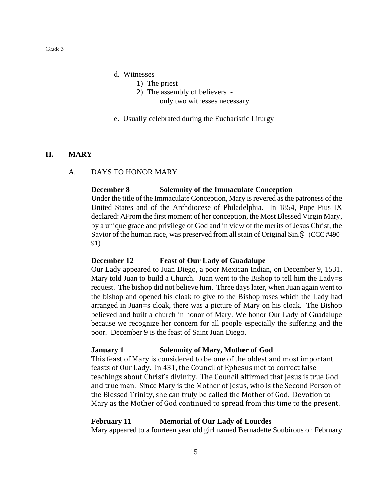- d. Witnesses
	- 1) The priest
	- 2) The assembly of believers
		- only two witnesses necessary
- e. Usually celebrated during the Eucharistic Liturgy

#### **II. MARY**

#### A. DAYS TO HONOR MARY

#### **December 8 Solemnity of the Immaculate Conception**

Under the title of the Immaculate Conception, Mary is revered as the patroness of the United States and of the Archdiocese of Philadelphia. In 1854, Pope Pius IX declared: AFrom the first moment of her conception, the Most Blessed Virgin Mary, by a unique grace and privilege of God and in view of the merits of Jesus Christ, the Savior of the human race, was preserved from all stain of Original Sin.@ (CCC #490- 91)

#### **December 12 Feast of Our Lady of Guadalupe**

Our Lady appeared to Juan Diego, a poor Mexican Indian, on December 9, 1531. Mary told Juan to build a Church. Juan went to the Bishop to tell him the Lady=s request. The bishop did not believe him. Three days later, when Juan again went to the bishop and opened his cloak to give to the Bishop roses which the Lady had arranged in Juan=s cloak, there was a picture of Mary on his cloak. The Bishop believed and built a church in honor of Mary. We honor Our Lady of Guadalupe because we recognize her concern for all people especially the suffering and the poor. December 9 is the feast of Saint Juan Diego.

#### **January 1 Solemnity of Mary, Mother of God**

This feast of Mary is considered to be one of the oldest and most important feasts of Our Lady. In 431, the Council of Ephesus met to correct false teachings about Christ's divinity. The Council affirmed that Jesus is true God and true man. Since Mary is the Mother of Jesus, who is the Second Person of the Blessed Trinity, she can truly be called the Mother of God. Devotion to Mary as the Mother of God continued to spread from this time to the present.

#### **February 11 Memorial of Our Lady of Lourdes**

Mary appeared to a fourteen year old girl named Bernadette Soubirous on February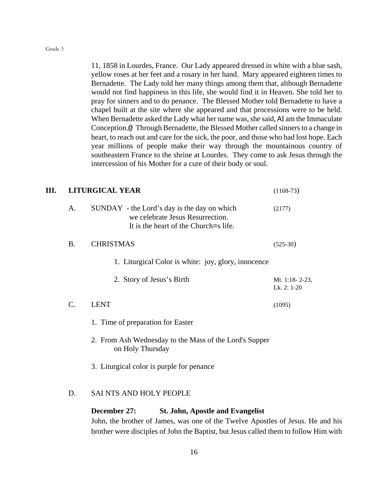11, 1858 in Lourdes, France. Our Lady appeared dressed in white with a blue sash, yellow roses at her feet and a rosary in her hand. Mary appeared eighteen times to Bernadette. The Lady told her many things among them that, although Bernadette would not find happiness in this life, she would find it in Heaven. She told her to pray for sinners and to do penance. The Blessed Mother told Bernadette to have a chapel built at the site where she appeared and that processions were to be held. When Bernadette asked the Lady what her name was, she said, AI am the Immaculate Conception.@ Through Bernadette, the Blessed Mother called sinners to a change in heart, to reach out and care for the sick, the poor, and those who had lost hope. Each year millions of people make their way through the mountainous country of southeastern France to the shrine at Lourdes. They come to ask Jesus through the intercession of his Mother for a cure of their body or soul.

#### **III. LITURGICAL YEAR** (1168-73)

| Α.              | SUNDAY - the Lord's day is the day on which<br>we celebrate Jesus Resurrection.<br>It is the heart of the Church=s life. | (2177)                        |
|-----------------|--------------------------------------------------------------------------------------------------------------------------|-------------------------------|
| <b>B.</b>       | <b>CHRISTMAS</b>                                                                                                         | $(525-30)$                    |
|                 | 1. Liturgical Color is white: joy, glory, innocence                                                                      |                               |
|                 | 2. Story of Jesus's Birth                                                                                                | Mt. 1:18-2-23,<br>Lk. 2: 1-20 |
| $\mathcal{C}$ . | <b>LENT</b>                                                                                                              | (1095)                        |
|                 | 1. Time of preparation for Easter                                                                                        |                               |
|                 | 2. From Ash Wednesday to the Mass of the Lord's Supper<br>on Holy Thursday                                               |                               |
|                 | 3. Liturgical color is purple for penance                                                                                |                               |
|                 |                                                                                                                          |                               |

#### D. SAI NTS AND HOLY PEOPLE

**December 27: St. John, Apostle and Evangelist** John, the brother of James, was one of the Twelve Apostles of Jesus. He and his brother were disciples of John the Baptist, but Jesus called them to follow Him with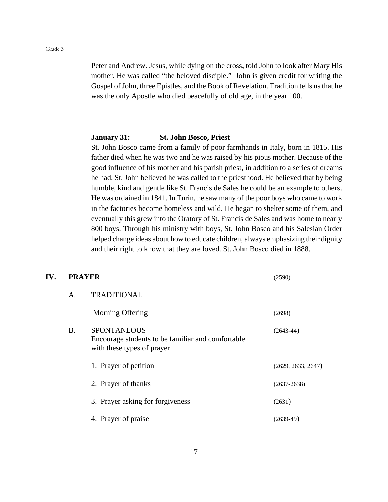Peter and Andrew. Jesus, while dying on the cross, told John to look after Mary His mother. He was called "the beloved disciple." John is given credit for writing the Gospel of John, three Epistles, and the Book of Revelation. Tradition tells us that he was the only Apostle who died peacefully of old age, in the year 100.

#### **January 31: St. John Bosco, Priest**

St. John Bosco came from a family of poor farmhands in Italy, born in 1815. His father died when he was two and he was raised by his pious mother. Because of the good influence of his mother and his parish priest, in addition to a series of dreams he had, St. John believed he was called to the priesthood. He believed that by being humble, kind and gentle like St. Francis de Sales he could be an example to others. He was ordained in 1841. In Turin, he saw many of the poor boys who came to work in the factories become homeless and wild. He began to shelter some of them, and eventually this grew into the Oratory of St. Francis de Sales and was home to nearly 800 boys. Through his ministry with boys, St. John Bosco and his Salesian Order helped change ideas about how to educate children, always emphasizing their dignity and their right to know that they are loved. St. John Bosco died in 1888.

#### **IV. PRAYER** (2590)

| А. | <b>TRADITIONAL</b>                                                                                    |                    |
|----|-------------------------------------------------------------------------------------------------------|--------------------|
|    | Morning Offering                                                                                      | (2698)             |
| B. | <b>SPONTANEOUS</b><br>Encourage students to be familiar and comfortable<br>with these types of prayer | $(2643-44)$        |
|    | 1. Prayer of petition                                                                                 | (2629, 2633, 2647) |
|    | 2. Prayer of thanks                                                                                   | $(2637 - 2638)$    |
|    | 3. Prayer asking for forgiveness                                                                      | (2631)             |
|    | 4. Prayer of praise                                                                                   | $(2639-49)$        |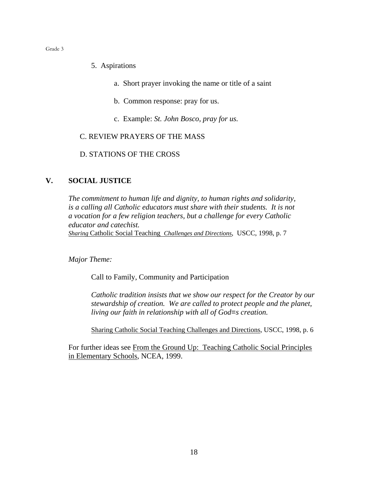- 5. Aspirations
	- a. Short prayer invoking the name or title of a saint
	- b. Common response: pray for us.
	- c. Example: *St. John Bosco, pray for us.*

# C. REVIEW PRAYERS OF THE MASS

#### D. STATIONS OF THE CROSS

#### **V. SOCIAL JUSTICE**

*The commitment to human life and dignity, to human rights and solidarity, is a calling all Catholic educators must share with their students. It is not a vocation for a few religion teachers, but a challenge for every Catholic educator and catechist. Sharing* Catholic Social Teaching *Challenges and Directions*, USCC, 1998, p. 7

*Major Theme:*

Call to Family, Community and Participation

*Catholic tradition insists that we show our respect for the Creator by our stewardship of creation. We are called to protect people and the planet, living our faith in relationship with all of God=s creation.*

Sharing Catholic Social Teaching Challenges and Directions, USCC, 1998, p. 6

For further ideas see From the Ground Up: Teaching Catholic Social Principles in Elementary Schools, NCEA, 1999.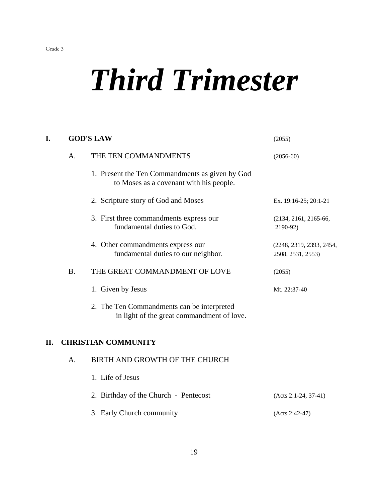# *Third Trimester*

| I.  |             | <b>GOD'S LAW</b>                                                                           | (2055)                                        |
|-----|-------------|--------------------------------------------------------------------------------------------|-----------------------------------------------|
|     | $A_{\cdot}$ | THE TEN COMMANDMENTS                                                                       | $(2056-60)$                                   |
|     |             | 1. Present the Ten Commandments as given by God<br>to Moses as a covenant with his people. |                                               |
|     |             | 2. Scripture story of God and Moses                                                        | Ex. 19:16-25; 20:1-21                         |
|     |             | 3. First three commandments express our<br>fundamental duties to God.                      | (2134, 2161, 2165-66,<br>2190-92)             |
|     |             | 4. Other commandments express our<br>fundamental duties to our neighbor.                   | (2248, 2319, 2393, 2454,<br>2508, 2531, 2553) |
|     | <b>B.</b>   | THE GREAT COMMANDMENT OF LOVE                                                              | (2055)                                        |
|     |             | 1. Given by Jesus                                                                          | Mt. 22:37-40                                  |
|     |             | 2. The Ten Commandments can be interpreted<br>in light of the great commandment of love.   |                                               |
| II. |             | <b>CHRISTIAN COMMUNITY</b>                                                                 |                                               |
|     | A.          | BIRTH AND GROWTH OF THE CHURCH                                                             |                                               |
|     |             | 1. Life of Jesus                                                                           |                                               |
|     |             | 2. Birthday of the Church - Pentecost                                                      | $(Acts 2:1-24, 37-41)$                        |
|     |             | 3. Early Church community                                                                  | (Acts 2:42-47)                                |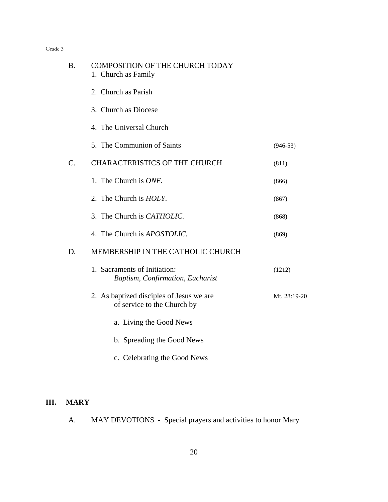| <b>B.</b>       | <b>COMPOSITION OF THE CHURCH TODAY</b><br>1. Church as Family           |              |
|-----------------|-------------------------------------------------------------------------|--------------|
|                 | 2. Church as Parish                                                     |              |
|                 | 3. Church as Diocese                                                    |              |
|                 | 4. The Universal Church                                                 |              |
|                 | 5. The Communion of Saints                                              | $(946-53)$   |
| $\mathcal{C}$ . | <b>CHARACTERISTICS OF THE CHURCH</b>                                    | (811)        |
|                 | 1. The Church is <i>ONE</i> .                                           | (866)        |
|                 | 2. The Church is <i>HOLY</i> .                                          | (867)        |
|                 | 3. The Church is <i>CATHOLIC</i> .                                      | (868)        |
|                 | 4. The Church is <i>APOSTOLIC</i> .                                     | (869)        |
| D.              | MEMBERSHIP IN THE CATHOLIC CHURCH                                       |              |
|                 | 1. Sacraments of Initiation:<br>Baptism, Confirmation, Eucharist        | (1212)       |
|                 | 2. As baptized disciples of Jesus we are<br>of service to the Church by | Mt. 28:19-20 |
|                 | a. Living the Good News                                                 |              |
|                 | b. Spreading the Good News                                              |              |
|                 | c. Celebrating the Good News                                            |              |

# **III. MARY**

A. MAY DEVOTIONS - Special prayers and activities to honor Mary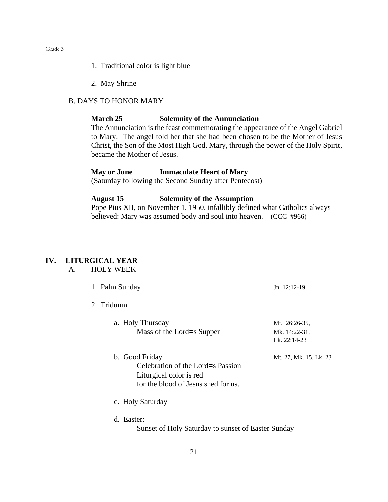- 1. Traditional color is light blue
- 2. May Shrine

#### B. DAYS TO HONOR MARY

#### **March 25 Solemnity of the Annunciation**

The Annunciation is the feast commemorating the appearance of the Angel Gabriel to Mary. The angel told her that she had been chosen to be the Mother of Jesus Christ, the Son of the Most High God. Mary, through the power of the Holy Spirit, became the Mother of Jesus.

### **May or June Immaculate Heart of Mary**

(Saturday following the Second Sunday after Pentecost)

#### **August 15 Solemnity of the Assumption**

Pope Pius XII, on November 1, 1950, infallibly defined what Catholics always believed: Mary was assumed body and soul into heaven. (CCC #966)

# **IV. LITURGICAL YEAR**

A. HOLY WEEK

|  | 1. Palm Sunday                                                                                                        | $Jn. 12:12-19$                                 |  |
|--|-----------------------------------------------------------------------------------------------------------------------|------------------------------------------------|--|
|  | 2. Triduum                                                                                                            |                                                |  |
|  | a. Holy Thursday<br>Mass of the Lord=s Supper                                                                         | Mt. 26:26-35,<br>Mk. 14:22-31,<br>Lk. 22:14-23 |  |
|  | b. Good Friday<br>Celebration of the Lord=s Passion<br>Liturgical color is red<br>for the blood of Jesus shed for us. | Mt. 27, Mk. 15, Lk. 23                         |  |
|  | c. Holy Saturday                                                                                                      |                                                |  |
|  | d. Easter:<br>Sunset of Holy Saturday to sunset of Easter Sunday                                                      |                                                |  |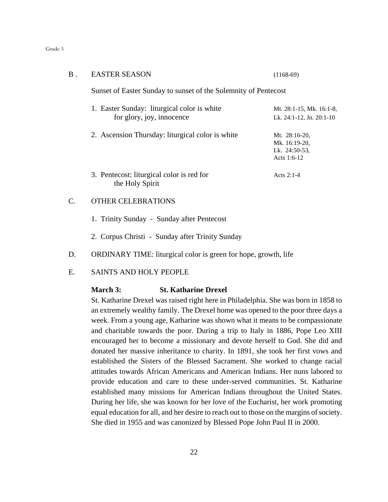| В.        | <b>EASTER SEASON</b>                                                     | $(1168-69)$                                                    |  |
|-----------|--------------------------------------------------------------------------|----------------------------------------------------------------|--|
|           | Sunset of Easter Sunday to sunset of the Solemnity of Pentecost          |                                                                |  |
|           | 1. Easter Sunday: liturgical color is white<br>for glory, joy, innocence | Mt. 28:1-15, Mk. 16:1-8,<br>Lk. 24:1-12, Jn. 20:1-10           |  |
|           | 2. Ascension Thursday: liturgical color is white                         | Mt. 28:16-20,<br>Mk. 16:19-20,<br>Lk. 24:50-53.<br>Acts 1:6-12 |  |
|           | 3. Pentecost: liturgical color is red for<br>the Holy Spirit             | Acts $2:1-4$                                                   |  |
| $\subset$ | ER CELEBRATIONS                                                          |                                                                |  |

- 1. Trinity Sunday Sunday after Pentecost
- 2. Corpus Christi Sunday after Trinity Sunday
- D. ORDINARY TIME: liturgical color is green for hope, growth, life
- E. SAINTS AND HOLY PEOPLE

#### **March 3: St. Katharine Drexel**

St. Katharine Drexel was raised right here in Philadelphia. She was born in 1858 to an extremely wealthy family. The Drexel home was opened to the poor three days a week. From a young age, Katharine was shown what it means to be compassionate and charitable towards the poor. During a trip to Italy in 1886, Pope Leo XIII encouraged her to become a missionary and devote herself to God. She did and donated her massive inheritance to charity. In 1891, she took her first vows and established the Sisters of the Blessed Sacrament. She worked to change racial attitudes towards African Americans and American Indians. Her nuns labored to provide education and care to these under-served communities. St. Katharine established many missions for American Indians throughout the United States. During her life, she was known for her love of the Eucharist, her work promoting equal education for all, and her desire to reach out to those on the margins of society. She died in 1955 and was canonized by Blessed Pope John Paul II in 2000.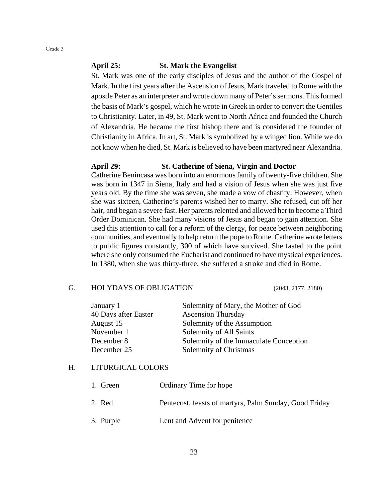#### **April 25: St. Mark the Evangelist**

St. Mark was one of the early disciples of Jesus and the author of the Gospel of Mark. In the first years after the Ascension of Jesus, Mark traveled to Rome with the apostle Peter as an interpreter and wrote down many of Peter's sermons. This formed the basis of Mark's gospel, which he wrote in Greek in order to convert the Gentiles to Christianity. Later, in 49, St. Mark went to North Africa and founded the Church of Alexandria. He became the first bishop there and is considered the founder of Christianity in Africa. In art, St. Mark is symbolized by a winged lion. While we do not know when he died, St. Mark is believed to have been martyred near Alexandria.

#### **April 29: St. Catherine of Siena, Virgin and Doctor**

Catherine Benincasa was born into an enormous family of twenty-five children. She was born in 1347 in Siena, Italy and had a vision of Jesus when she was just five years old. By the time she was seven, she made a vow of chastity. However, when she was sixteen, Catherine's parents wished her to marry. She refused, cut off her hair, and began a severe fast. Her parents relented and allowed her to become a Third Order Dominican. She had many visions of Jesus and began to gain attention. She used this attention to call for a reform of the clergy, for peace between neighboring communities, and eventually to help return the pope to Rome. Catherine wrote letters to public figures constantly, 300 of which have survived. She fasted to the point where she only consumed the Eucharist and continued to have mystical experiences. In 1380, when she was thirty-three, she suffered a stroke and died in Rome.

#### G. HOLYDAYS OF OBLIGATION (2043, 2177, 2180)

| Solemnity of Mary, the Mother of God   |
|----------------------------------------|
| <b>Ascension Thursday</b>              |
| Solemnity of the Assumption            |
| Solemnity of All Saints                |
| Solemnity of the Immaculate Conception |
| Solemnity of Christmas                 |
|                                        |

#### H. LITURGICAL COLORS

| 1. Green  | <b>Ordinary Time for hope</b>                          |
|-----------|--------------------------------------------------------|
| 2. Red    | Pentecost, feasts of martyrs, Palm Sunday, Good Friday |
| 3. Purple | Lent and Advent for penitence                          |